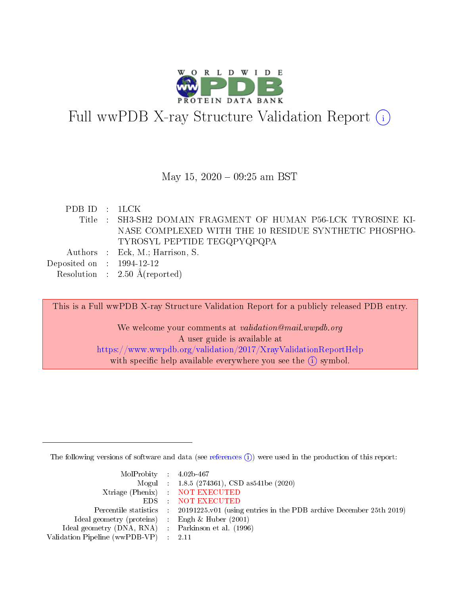

# Full wwPDB X-ray Structure Validation Report  $(i)$

#### May 15,  $2020 - 09:25$  am BST

| PDB ID : 1LCK               |                                                              |
|-----------------------------|--------------------------------------------------------------|
|                             | Title: SH3-SH2 DOMAIN FRAGMENT OF HUMAN P56-LCK TYROSINE KI- |
|                             | NASE COMPLEXED WITH THE 10 RESIDUE SYNTHETIC PHOSPHO-        |
|                             | TYROSYL PEPTIDE TEGQPYQPQPA                                  |
|                             | Authors : Eck, M.; Harrison, S.                              |
| Deposited on : $1994-12-12$ |                                                              |
|                             | Resolution : $2.50 \text{ Å}$ (reported)                     |

This is a Full wwPDB X-ray Structure Validation Report for a publicly released PDB entry. We welcome your comments at validation@mail.wwpdb.org A user guide is available at <https://www.wwpdb.org/validation/2017/XrayValidationReportHelp> with specific help available everywhere you see the  $(i)$  symbol.

The following versions of software and data (see [references](https://www.wwpdb.org/validation/2017/XrayValidationReportHelp#references)  $(i)$ ) were used in the production of this report:

| $MolProbability$ 4.02b-467                          |                                                                                            |
|-----------------------------------------------------|--------------------------------------------------------------------------------------------|
|                                                     | Mogul : $1.8.5$ (274361), CSD as 541be (2020)                                              |
|                                                     | Xtriage (Phenix) NOT EXECUTED                                                              |
|                                                     | EDS : NOT EXECUTED                                                                         |
|                                                     | Percentile statistics : 20191225.v01 (using entries in the PDB archive December 25th 2019) |
| Ideal geometry (proteins) : Engh $\&$ Huber (2001)  |                                                                                            |
| Ideal geometry (DNA, RNA) : Parkinson et al. (1996) |                                                                                            |
| Validation Pipeline (wwPDB-VP) : 2.11               |                                                                                            |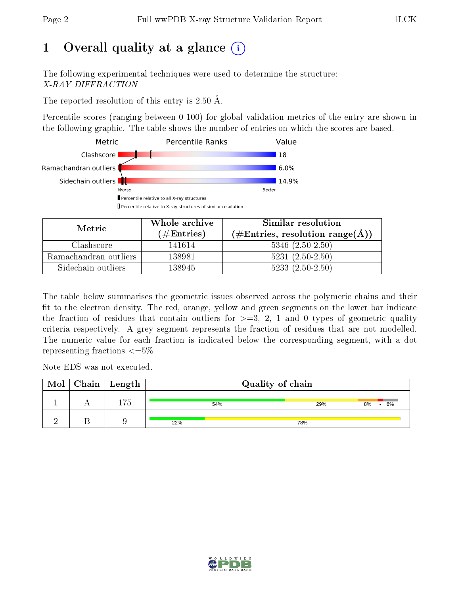# 1 [O](https://www.wwpdb.org/validation/2017/XrayValidationReportHelp#overall_quality)verall quality at a glance  $(i)$

The following experimental techniques were used to determine the structure: X-RAY DIFFRACTION

The reported resolution of this entry is 2.50 Å.

Percentile scores (ranging between 0-100) for global validation metrics of the entry are shown in the following graphic. The table shows the number of entries on which the scores are based.



| Metric                | Whole archive       | Similar resolution                                 |
|-----------------------|---------------------|----------------------------------------------------|
|                       | (# $\rm{Entries}$ ) | $(\text{\#Entries, resolution range}(\text{\AA}))$ |
| Clashscore            | 141614              | $5346$ $(2.50-2.50)$                               |
| Ramachandran outliers | 138981              | $5231 (2.50 - 2.50)$                               |
| Sidechain outliers    | 138945              | $5233(2.50-2.50)$                                  |

The table below summarises the geometric issues observed across the polymeric chains and their fit to the electron density. The red, orange, yellow and green segments on the lower bar indicate the fraction of residues that contain outliers for  $\geq=3$ , 2, 1 and 0 types of geometric quality criteria respectively. A grey segment represents the fraction of residues that are not modelled. The numeric value for each fraction is indicated below the corresponding segment, with a dot representing fractions  $\epsilon = 5\%$ 

Note EDS was not executed.

| Mol | $\sqrt{\phantom{a}}$ Chain $\sqrt{\phantom{a}}$ Length | Quality of chain |     |          |  |  |
|-----|--------------------------------------------------------|------------------|-----|----------|--|--|
|     | --                                                     | 54%              | 29% | 6%<br>8% |  |  |
|     |                                                        | 22%              | 78% |          |  |  |

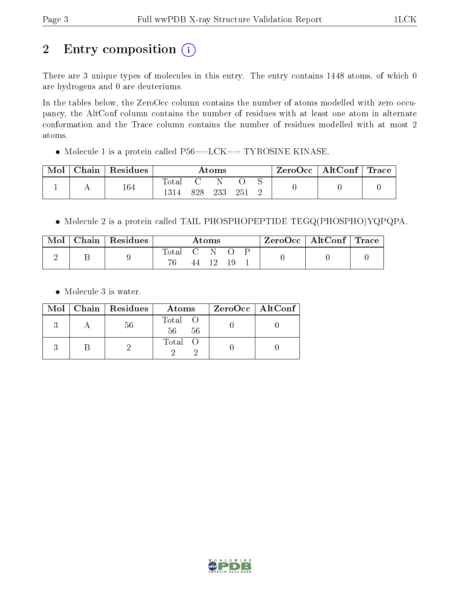# 2 Entry composition (i)

There are 3 unique types of molecules in this entry. The entry contains 1448 atoms, of which 0 are hydrogens and 0 are deuteriums.

In the tables below, the ZeroOcc column contains the number of atoms modelled with zero occupancy, the AltConf column contains the number of residues with at least one atom in alternate conformation and the Trace column contains the number of residues modelled with at most 2 atoms.

• Molecule 1 is a protein called  $P56 == LCK == TYROSINE$  KINASE.

| Mol | Chain | $\perp$ Residues | $\rm\bf Atoms$ |      |     | $\text{ZeroOcc} \mid \text{AltConf} \mid \text{Trace}$ |  |  |  |
|-----|-------|------------------|----------------|------|-----|--------------------------------------------------------|--|--|--|
|     |       | 164              | Total          | 828. | 233 |                                                        |  |  |  |

Molecule 2 is a protein called TAIL PHOSPHOPEPTIDE TEGQ(PHOSPHO)YQPQPA.

| Mol | $\vert$ Chain $\vert$ Residues | $\rm{Atoms}$ |     |     | $\text{ZeroOcc} \mid \text{AltConf} \mid \text{Trace}$ |  |  |  |
|-----|--------------------------------|--------------|-----|-----|--------------------------------------------------------|--|--|--|
|     |                                | Total        | C N | 19. |                                                        |  |  |  |

• Molecule 3 is water.

|  | $Mol$   Chain   Residues | Atoms               | ZeroOcc   AltConf |
|--|--------------------------|---------------------|-------------------|
|  | 56                       | Total O<br>56<br>56 |                   |
|  |                          | Total O             |                   |

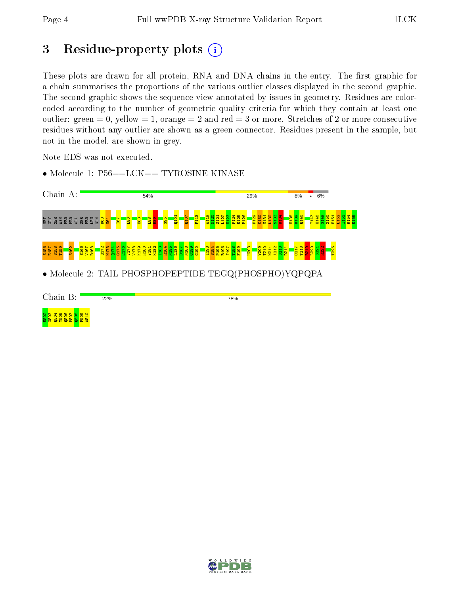## 3 Residue-property plots  $(i)$

These plots are drawn for all protein, RNA and DNA chains in the entry. The first graphic for a chain summarises the proportions of the various outlier classes displayed in the second graphic. The second graphic shows the sequence view annotated by issues in geometry. Residues are colorcoded according to the number of geometric quality criteria for which they contain at least one outlier: green  $= 0$ , yellow  $= 1$ , orange  $= 2$  and red  $= 3$  or more. Stretches of 2 or more consecutive residues without any outlier are shown as a green connector. Residues present in the sample, but not in the model, are shown in grey.

Note EDS was not executed.

• Molecule 1: P56==LCK== TYROSINE KINASE



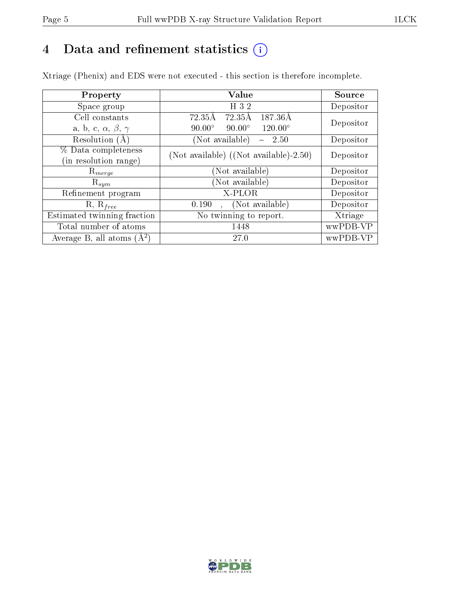# 4 Data and refinement statistics  $(i)$

Xtriage (Phenix) and EDS were not executed - this section is therefore incomplete.

| Property                               | Value                                                | Source    |
|----------------------------------------|------------------------------------------------------|-----------|
| Space group                            | H 3 2                                                | Depositor |
| Cell constants                         | $\overline{72.35\text{\AA}}$<br>187.36Å<br>72.35Å    | Depositor |
| a, b, c, $\alpha$ , $\beta$ , $\gamma$ | $90.00^{\circ}$<br>$120.00^{\circ}$<br>$90.00^\circ$ |           |
| Resolution $(A)$                       | (Not available)<br>2.50                              | Depositor |
| % Data completeness                    | (Not available) $((Not available)-2.50)$             | Depositor |
| (in resolution range)                  |                                                      |           |
| $\mathrm{R}_{merge}$                   | (Not available)                                      | Depositor |
| $\mathrm{R}_{sym}$                     | (Not available)                                      | Depositor |
| Refinement program                     | X-PLOR                                               | Depositor |
| $R, R_{free}$                          | (Not available)<br>0.190<br>$\ddot{\phantom{a}}$     | Depositor |
| Estimated twinning fraction            | No twinning to report.                               | Xtriage   |
| Total number of atoms                  | 1448                                                 | wwPDB-VP  |
| Average B, all atoms $(A^2)$           | 27.0                                                 | wwPDB-VP  |

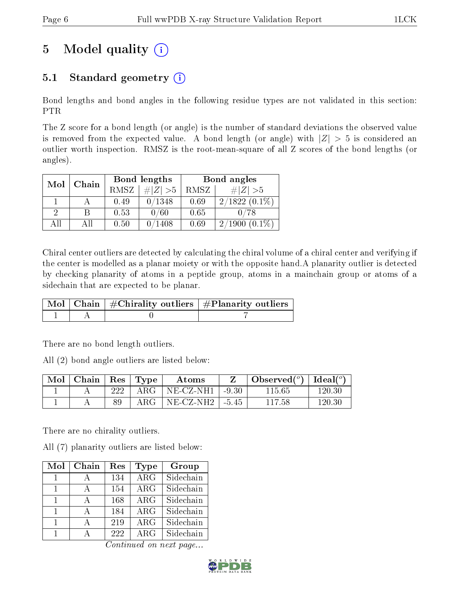# 5 Model quality  $(i)$

## 5.1 Standard geometry  $(i)$

Bond lengths and bond angles in the following residue types are not validated in this section: PTR

The Z score for a bond length (or angle) is the number of standard deviations the observed value is removed from the expected value. A bond length (or angle) with  $|Z| > 5$  is considered an outlier worth inspection. RMSZ is the root-mean-square of all Z scores of the bond lengths (or angles).

| Mol | Chain |             | Bond lengths    | Bond angles |                     |  |
|-----|-------|-------------|-----------------|-------------|---------------------|--|
|     |       | <b>RMSZ</b> | $\ Z\  > 5$     | RMSZ        | $\# Z  > 5$         |  |
|     |       | 0.49        | 0/1348          | 0.69        | $2/1822(0.1\%)$     |  |
| 2   | В     | 0.53        | 0/60            | 0.65        |                     |  |
| AΠ  | АH    | 0.50        | $^{\prime}1408$ | 0.69        | $(0.1\%)$<br>2/1900 |  |

Chiral center outliers are detected by calculating the chiral volume of a chiral center and verifying if the center is modelled as a planar moiety or with the opposite hand.A planarity outlier is detected by checking planarity of atoms in a peptide group, atoms in a mainchain group or atoms of a sidechain that are expected to be planar.

|  | $\mid$ Mol $\mid$ Chain $\mid$ #Chirality outliers $\mid$ #Planarity outliers $\mid$ |
|--|--------------------------------------------------------------------------------------|
|  |                                                                                      |

There are no bond length outliers.

All (2) bond angle outliers are listed below:

| $\vert$ Mol $\vert$ Chain $\vert$ Res $\vert$ Type |       | Atoms                         | Observed $(^\circ)$   Ideal $(^\circ)$ |        |
|----------------------------------------------------|-------|-------------------------------|----------------------------------------|--------|
|                                                    | 222 l | ARG   NE-CZ-NH1   -9.30       | 115.65                                 | 120.30 |
|                                                    | 89    | ARG   NE-CZ-NH2 $\vert$ -5.45 | 117.58                                 | 120.30 |

There are no chirality outliers.

All (7) planarity outliers are listed below:

| Mol | Chain        | Res | Type                    | Group     |
|-----|--------------|-----|-------------------------|-----------|
|     |              | 134 | $\overline{\text{ARG}}$ | Sidechain |
| 1   |              | 154 | ARG                     | Sidechain |
| 1   | А            | 168 | $\rm{ARG}$              | Sidechain |
|     | А            | 184 | $\rm{ARG}$              | Sidechain |
| 1   | $\mathsf{A}$ | 219 | $\rm{ARG}$              | Sidechain |
|     |              | 222 | ARG                     | Sidechain |

Continued on next page...

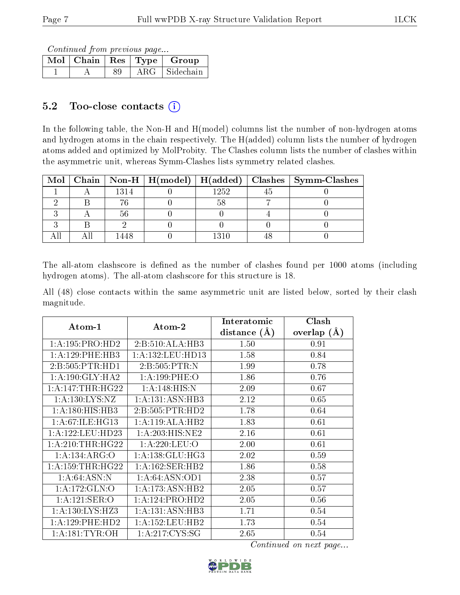Continued from previous page...

|  |            | $Mol$   Chain   Res   Type   Group |
|--|------------|------------------------------------|
|  | $\rm{ARG}$ | + Sidechain +                      |

### 5.2 Too-close contacts (i)

In the following table, the Non-H and H(model) columns list the number of non-hydrogen atoms and hydrogen atoms in the chain respectively. The H(added) column lists the number of hydrogen atoms added and optimized by MolProbity. The Clashes column lists the number of clashes within the asymmetric unit, whereas Symm-Clashes lists symmetry related clashes.

| $\text{Mol}$ |      | $\mid$ Chain $\mid$ Non-H $\mid$ H(model) $\mid$ H(added) $\mid$ |      | Clashes   Symm-Clashes |
|--------------|------|------------------------------------------------------------------|------|------------------------|
|              | 1314 |                                                                  | 1252 |                        |
|              |      |                                                                  |      |                        |
|              |      |                                                                  |      |                        |
|              |      |                                                                  |      |                        |
|              |      |                                                                  | 1310 |                        |

The all-atom clashscore is defined as the number of clashes found per 1000 atoms (including hydrogen atoms). The all-atom clashscore for this structure is 18.

All (48) close contacts within the same asymmetric unit are listed below, sorted by their clash magnitude.

|                      |                                       | Interatomic      | Clash         |
|----------------------|---------------------------------------|------------------|---------------|
| $Atom-1$             | $\boldsymbol{\mathrm{Atom}\text{-}2}$ | distance $(\AA)$ | overlap $(A)$ |
| 1:A:195:PRO:HD2      | 2:B:510:ALA:HB3                       | 1.50             | 0.91          |
| 1: A: 129: PHE: HB3  | 1:A:132:LEU:HD13                      | 1.58             | 0.84          |
| 2:B:505:PTR:HD1      | 2:B:505:PTR:N                         | 1.99             | 0.78          |
| 1: A:190: GLY:HA2    | 1: A: 199: PHE: O                     | 1.86             | 0.76          |
| 1: A:147:THR:HG22    | 1:A:148:HIS:N                         | 2.09             | 0.67          |
| 1: A: 130: LYS: NZ   | 1:A:131:ASN:HB3                       | 2.12             | 0.65          |
| 1:A:180:HIS:HB3      | 2: B: 505: PTR: HD2                   | 1.78             | 0.64          |
| 1: A:67: ILE: HG13   | 1:A:119:ALA:HB2                       | 1.83             | 0.61          |
| 1:A:122:LEU:HD23     | 1: A:203: HIS: NE2                    | 2.16             | 0.61          |
| 1: A:210:THR:HG22    | 1: A:220:LEU:O                        | 2.00             | 0.61          |
| 1:A:134:ARG:O        | 1: A: 138: GLU: HG3                   | 2.02             | 0.59          |
| 1: A: 159: THR: HG22 | 1: A: 162: SER: HB2                   | 1.86             | 0.58          |
| 1: A:64: ASN:N       | 1: A:64: ASN:OD1                      | 2.38             | 0.57          |
| 1:A:172:GLN:O        | 1:A:173:ASN:HB2                       | 2.05             | 0.57          |
| 1: A: 121: SER: O    | 1:A:124:PRO:HD2                       | 2.05             | 0.56          |
| 1:A:130:LYS:HZ3      | 1:A:131:ASN:HB3                       | 1.71             | 0.54          |
| 1: A: 129: PHE: HD2  | 1:A:152:LEU:HB2                       | 1.73             | 0.54          |
| 1: A:181: TYR:OH     | 1: A:217: CYS:SG                      | 2.65             | 0.54          |

Continued on next page...

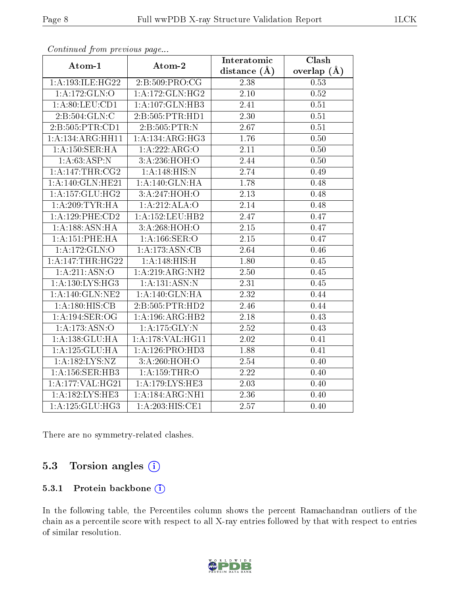| . <i>. .</i>        | $\cdots$ $\cdots$   | Interatomic       | <b>Clash</b>  |
|---------------------|---------------------|-------------------|---------------|
| Atom-1              | Atom-2              | distance $(A)$    | overlap $(A)$ |
| 1:A:193:ILE:HG22    | 2: B:509: PRO:CG    | 2.38              | 0.53          |
| 1:A:172:GLN:O       | 1:A:172:GLN:HG2     | $\overline{2.10}$ | 0.52          |
| 1: A:80: LEU:CD1    | 1:A:107:GLN:HB3     | 2.41              | 0.51          |
| 2:B:504:GLN:C       | 2:B:505:PTR:HD1     | 2.30              | 0.51          |
| 2:B:505:PTR:CD1     | 2: B: 505: PTR:N    | 2.67              | 0.51          |
| 1:A:134:ARG:HH11    | 1:A:134:ARG:HG3     | 1.76              | 0.50          |
| 1:A:150:SER:HA      | 1:A:222:ARG:O       | $\overline{2}.11$ | 0.50          |
| 1: A:63: ASP:N      | 3:A:236:HOH:O       | 2.44              | 0.50          |
| 1:A:147:THR:CG2     | 1:A:148:HIS:N       | 2.74              | 0.49          |
| 1:A:140:GLN:HE21    | 1: A:140: GLN: HA   | 1.78              | 0.48          |
| 1: A: 157: GLU: HG2 | 3:A:247:HOH:O       | 2.13              | 0.48          |
| 1: A:209:TYR:HA     | 1:A:212:ALA:O       | 2.14              | 0.48          |
| 1:A:129:PHE:CD2     | 1:A:152:LEU:HB2     | 2.47              | 0.47          |
| 1:A:188:ASN:HA      | 3:A:268:HOH:O       | 2.15              | 0.47          |
| 1:A:151:PHE:HA      | 1: A: 166: SER: O   | 2.15              | 0.47          |
| 1:A:172:GLN:O       | 1:A:173:ASN:CB      | 2.64              | 0.46          |
| 1: A:147:THR:HG22   | 1:A:148:HIS:H       | 1.80              | 0.45          |
| 1:A:211:ASN:O       | 1: A:219: ARG: NH2  | 2.50              | 0.45          |
| 1: A: 130: LYS: HG3 | 1:A:131:ASN:N       | 2.31              | 0.45          |
| 1: A:140: GLN: NE2  | 1: A:140: GLN: HA   | 2.32              | 0.44          |
| 1: A:180:HIS:CB     | 2:B:505:PTR:HD2     | 2.46              | 0.44          |
| 1:A:194:SER:OG      | 1:A:196:ARG:HB2     | 2.18              | 0.43          |
| 1:A:173:ASN:O       | 1: A: 175: GLY: N   | 2.52              | 0.43          |
| 1:A:138:GLU:HA      | $1:$ A:178:VAL:HG11 | 2.02              | 0.41          |
| 1:A:125:GLU:HA      | 1: A:126: PRO:HD3   | 1.88              | 0.41          |
| 1:A:182:LYS:NZ      | 3:A:260:HOH:O       | 2.54              | 0.40          |
| 1: A:156: SER:HB3   | $1:$ A:159:THR:O    | 2.22              | 0.40          |
| 1:A:177:VAL:HG21    | 1:A:179:LYS:HE3     | 2.03              | 0.40          |
| 1:A:182:LYS:HE3     | 1:A:184:ARG:NH1     | 2.36              | 0.40          |
| 1: A: 125: GLU: HG3 | 1:A:203:HIS:CE1     | 2.57              | 0.40          |

Continued from previous page...

There are no symmetry-related clashes.

### 5.3 Torsion angles  $(i)$

#### 5.3.1 Protein backbone (i)

In the following table, the Percentiles column shows the percent Ramachandran outliers of the chain as a percentile score with respect to all X-ray entries followed by that with respect to entries of similar resolution.

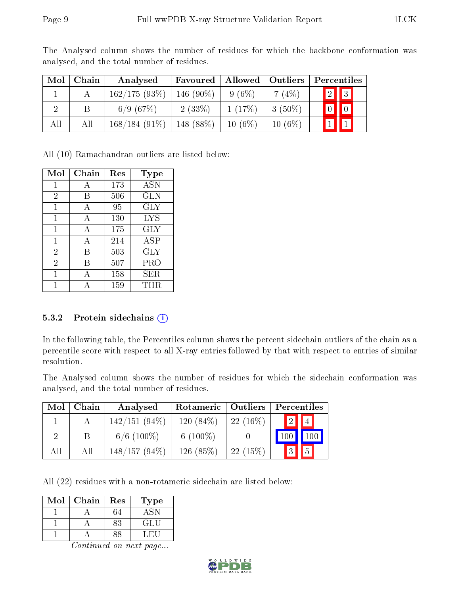| Mol | Chain | Analysed        | Favoured   | Allowed   | Outliers  | Percentiles                                                                          |
|-----|-------|-----------------|------------|-----------|-----------|--------------------------------------------------------------------------------------|
|     |       | 162/175(93%)    | 146 (90\%) | $9(6\%)$  | $7(4\%)$  | $\sqrt{2}$ 3                                                                         |
|     | Β     | 6/9(67%)        | 2(33%)     | 1(17%)    | $3(50\%)$ | $\begin{array}{c} \begin{array}{c} \end{array} \end{array}$<br>$\vert 0 \vert \vert$ |
| All | Αll   | $168/184(91\%)$ | 148 (88%)  | $10(6\%)$ | $10(6\%)$ |                                                                                      |

The Analysed column shows the number of residues for which the backbone conformation was analysed, and the total number of residues.

All (10) Ramachandran outliers are listed below:

| Mol            | Chain | $\operatorname{Res}% \left( \mathcal{N}\right) \equiv\operatorname{Res}(\mathcal{N}_{0},\mathcal{N}_{0})$ | Type       |
|----------------|-------|-----------------------------------------------------------------------------------------------------------|------------|
| 1              | А     | 173                                                                                                       | <b>ASN</b> |
| $\overline{2}$ | В     | 506                                                                                                       | <b>GLN</b> |
| 1              | А     | 95                                                                                                        | <b>GLY</b> |
| 1              | А     | 130                                                                                                       | <b>LYS</b> |
| 1              | А     | 175                                                                                                       | $\rm GLY$  |
| 1              | А     | 214                                                                                                       | ASP        |
| $\overline{2}$ | В     | 503                                                                                                       | <b>GLY</b> |
| $\overline{2}$ | В     | 507                                                                                                       | PRO        |
| 1              |       | 158                                                                                                       | SER        |
|                |       | 159                                                                                                       | $\rm THR$  |

#### 5.3.2 Protein sidechains  $(i)$

In the following table, the Percentiles column shows the percent sidechain outliers of the chain as a percentile score with respect to all X-ray entries followed by that with respect to entries of similar resolution.

The Analysed column shows the number of residues for which the sidechain conformation was analysed, and the total number of residues.

| Mol      | Chain       | Analysed        | Rotameric   Outliers |            | Percentiles          |
|----------|-------------|-----------------|----------------------|------------|----------------------|
|          |             | $142/151(94\%)$ | 120 $(84\%)$         | $22(16\%)$ | 2  4                 |
| $\Omega$ | $\mathsf B$ | $6/6$ (100\%)   | 6 $(100\%)$          |            | 100<br>100           |
| All      | All         | $148/157(94\%)$ | $126(85\%)$          | 22(15%)    | 5 <br>$\blacksquare$ |

All (22) residues with a non-rotameric sidechain are listed below:

| Mol | Chain | Res | Гуре |
|-----|-------|-----|------|
|     |       |     |      |
|     |       | 83  | GLU  |
|     |       |     |      |

Continued on next page...

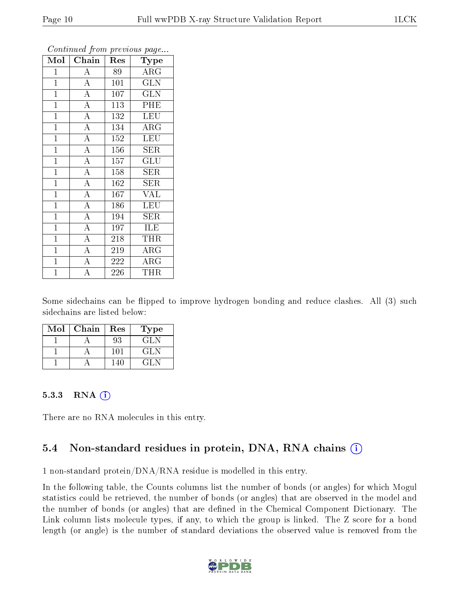| Mol            | Chain              | Res | Type                    |
|----------------|--------------------|-----|-------------------------|
| $\mathbf{1}$   | $\overline{A}$     | 89  | $\rm{ARG}$              |
| $\mathbf{1}$   | $\overline{A}$     | 101 | $\overline{\text{GLN}}$ |
| $\mathbf{1}$   | $\overline{A}$     | 107 | $\overline{\text{GLN}}$ |
| $\overline{1}$ | $\overline{A}$     | 113 | PHE                     |
| $\mathbf{1}$   | $\overline{A}$     | 132 | <b>LEU</b>              |
| $\mathbf{1}$   | $\overline{\rm A}$ | 134 | $\rm{ARG}$              |
| $\mathbf{1}$   | $\overline{\rm A}$ | 152 | <b>LEU</b>              |
| $\overline{1}$ | $\overline{A}$     | 156 | $\rm{SER}$              |
| $\overline{1}$ | $\overline{\rm A}$ | 157 | $\mathrm{GLU}$          |
| $\mathbf{1}$   | $\overline{A}$     | 158 | SER                     |
| $\mathbf{1}$   | $\overline{A}$     | 162 | SER                     |
| $\mathbf{1}$   | $\overline{\rm A}$ | 167 | <b>VAL</b>              |
| $\mathbf{1}$   | $\overline{\rm A}$ | 186 | <b>LEU</b>              |
| $\mathbf{1}$   | $\overline{A}$     | 194 | SER                     |
| $\mathbf{1}$   | $\overline{A}$     | 197 | ILE                     |
| $\mathbf{1}$   | $\overline{\rm A}$ | 218 | THR                     |
| $\mathbf{1}$   | $\overline{A}$     | 219 | $\rm{ARG}$              |
| $\mathbf{1}$   | $\overline{\rm A}$ | 222 | $\rm{ARG}$              |
| $\overline{1}$ | $\overline{\rm A}$ | 226 | THR                     |

Continued from previous page...

Some sidechains can be flipped to improve hydrogen bonding and reduce clashes. All (3) such sidechains are listed below:

| Mol | Chain | Res             | Type |
|-----|-------|-----------------|------|
|     |       | 93              | GLN  |
|     |       | 10 <sub>1</sub> | GL N |
|     |       |                 | GL N |

#### 5.3.3 RNA [O](https://www.wwpdb.org/validation/2017/XrayValidationReportHelp#rna)i

There are no RNA molecules in this entry.

### 5.4 Non-standard residues in protein, DNA, RNA chains (i)

1 non-standard protein/DNA/RNA residue is modelled in this entry.

In the following table, the Counts columns list the number of bonds (or angles) for which Mogul statistics could be retrieved, the number of bonds (or angles) that are observed in the model and the number of bonds (or angles) that are defined in the Chemical Component Dictionary. The Link column lists molecule types, if any, to which the group is linked. The Z score for a bond length (or angle) is the number of standard deviations the observed value is removed from the

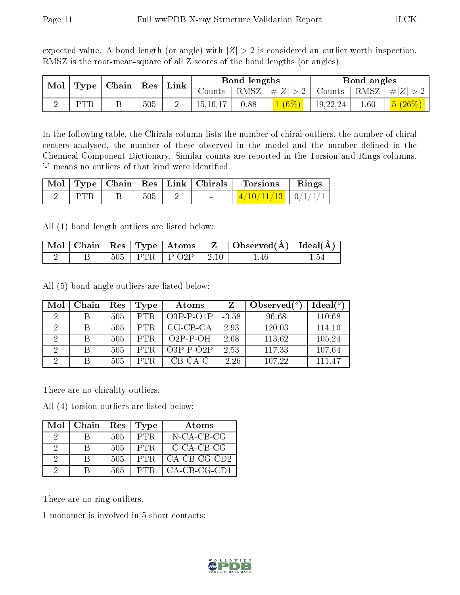expected value. A bond length (or angle) with  $|Z| > 2$  is considered an outlier worth inspection. RMSZ is the root-mean-square of all Z scores of the bond lengths (or angles).

|                                                            |     |     | Link     | Bond lengths |                 | Bond angles |          |                                  |                                     |
|------------------------------------------------------------|-----|-----|----------|--------------|-----------------|-------------|----------|----------------------------------|-------------------------------------|
| $\vert$ Mol $\vert$ Type $\vert$ Chain $\vert$ Res $\vert$ |     |     | Counts ' |              | RMSZ $ #Z  > 2$ |             |          | Counts   RMSZ $\vert \#  Z  > 2$ |                                     |
|                                                            | PTR | 505 |          | 15, 16, 17   | 0.88            | $1(6\%)$    | 19,22,24 | $1.60\,$                         | $\mid$ $\lfloor 5 \ (26\% ) \ \mid$ |

In the following table, the Chirals column lists the number of chiral outliers, the number of chiral centers analysed, the number of these observed in the model and the number defined in the Chemical Component Dictionary. Similar counts are reported in the Torsion and Rings columns. '-' means no outliers of that kind were identified.

|      |     |                          | $\mid$ Mol $\mid$ Type $\mid$ Chain $\mid$ Res $\mid$ Link $\mid$ Chirals $\mid$ Torsions $\mid$ | $\parallel$ Rings |
|------|-----|--------------------------|--------------------------------------------------------------------------------------------------|-------------------|
| PTR. | 505 | <b>Contract Contract</b> | $\frac{4}{10}\frac{11}{13}$   0/1/1/1                                                            |                   |

All (1) bond length outliers are listed below:

|  |     | $\parallel$ Mol $\parallel$ Chain $\parallel$ Res $\parallel$ Type $\parallel$ Atoms $\parallel$ |                  | $\perp$ Observed( $\AA$ )   Ideal( $\AA$ ) |  |
|--|-----|--------------------------------------------------------------------------------------------------|------------------|--------------------------------------------|--|
|  | 505 | $ $ PTR $ $ P-O2P                                                                                | $\frac{1}{2}$ 10 |                                            |  |

All (5) bond angle outliers are listed below:

| Mol            | Chain | Res | Type       | Atoms       |         | Observed $(^\circ)$ | Ideal $(°)$ |
|----------------|-------|-----|------------|-------------|---------|---------------------|-------------|
| $\cdot$        |       | 505 | PTR.       | $O3P-P-O1P$ | $-3.58$ | 96.68               | 110.68      |
| 2              |       | 505 | <b>PTR</b> | $CG-CB-CA$  | 2.93    | 120.03              | 114.10      |
| $\overline{2}$ |       | 505 | PTR.       | $O2P-P-OH$  | 2.68    | 113.62              | 105.24      |
| $\overline{2}$ |       | 505 |            | $O3P-P-O2P$ | 2.53    | 117.33              | 107.64      |
| ച              |       | 505 |            | $CB-CA-C$   | $-2.26$ | 107.22              | 111 47      |

There are no chirality outliers.

All (4) torsion outliers are listed below:

| Mol      | Chain | $Res \mid$ | $\mathbf{Type}$ | Atoms          |
|----------|-------|------------|-----------------|----------------|
| 9        |       | 505        | PTR.            | $N$ -CA-CB-CG  |
| $\Omega$ | R     | 505        | -PTR            | $C-CA-CB-CG$   |
| 2        |       | 505        | PTR.            | $CA-CB-CG-CD2$ |
| - 2      |       | 505.       | PTR.            | CA-CB-CG-CD1   |

There are no ring outliers.

1 monomer is involved in 5 short contacts:

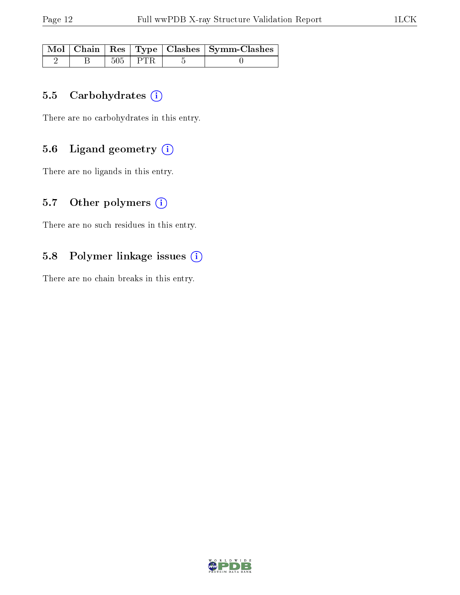|  |             | Mol   Chain   Res   Type   Clashes   Symm-Clashes |
|--|-------------|---------------------------------------------------|
|  | $505$   PTR |                                                   |

#### 5.5 Carbohydrates  $(i)$

There are no carbohydrates in this entry.

### 5.6 Ligand geometry (i)

There are no ligands in this entry.

### 5.7 [O](https://www.wwpdb.org/validation/2017/XrayValidationReportHelp#nonstandard_residues_and_ligands)ther polymers  $(i)$

There are no such residues in this entry.

#### 5.8 Polymer linkage issues  $(i)$

There are no chain breaks in this entry.